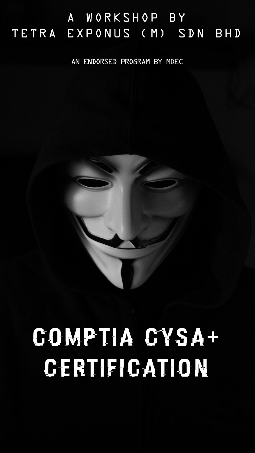# A WORKSHOP BY TETRA EXPONUS (M) SDN BHD

An endorsed program by MDEC



# CompTIA CySA+ Certification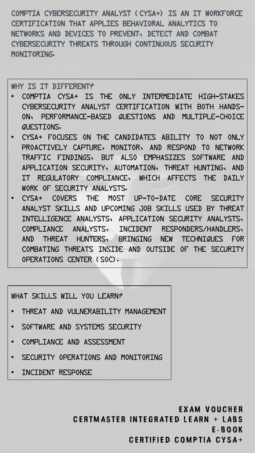CompTIA Cybersecurity Analyst (CySA+) is an IT workforce certification that applies behavioral analytics to networks and devices to prevent, detect and combat cybersecurity threats through continuous security MONTTORTNG.

WHY IS IT DIFFERENT?

- CompTIA CySA+ is the only intermediate high-stakes cybersecurity analyst certification with both handson, performance-based questions and multiple-choice questions.
- CySA+ focuses on the candidates ability to not only proactively capture, monitor, and respond to network traffic findings, but also emphasizes software and application security, automation, threat hunting, and IT regulatory compliance, which affects the daily work of security analysts.
- CySA+ covers the most up-to-date core security analyst skills and upcoming job skills used by threat intelligence analysts, application security analysts, compliance analysts, incident responders/handlers, and threat hunters, bringing new techniques for combating threats inside and outside of the Security Operations Center (SOC).

WHAT SKILLS WILL YOU LEARN?

- Threat and Vulnerability Management
- SOFTWARE AND SYSTEMS SECURITY
- Compliance and Assessment
- SECURITY OPERATIONS AND MONITORING
- Incident Response

E x a m V o u c h e r CERTMASTER INTEGRATED LEARN + LABS E - B o o k CERTIFIED COMPTIA CYSA+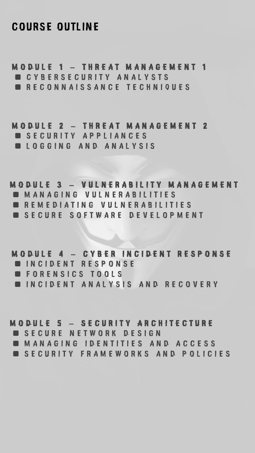### **COURSE OUTLINE**

M o d u l e 1 – T h r e a t M a n a g e m e n t 1 ■ C Y B E R S E C U R I T Y A N A L Y S T S ■ R E C O N N A I S S A N C E T E C H N I Q U E S

#### M O D U L E 2 – THR E AT M A N A G E M E N T 2

- SECURITY APPLIANCES
- LOGGING AND ANALYSIS

M O D U L E 3 - V U L N E R A B I L I T Y M A N A G E M E N T  $\blacksquare$  **M A N A G I N G V U L N E R A B I L I T I E S** ■ R E M E D I A T I N G V U L N E R A B I L I T I E S ■ S E C U R E S O F T W A R E D E V E L O P M E N T

M O D U L E 4 - C Y B E R IN CID ENT RESPONSE ■ INCIDENT RESPONSE ■ FORENSICS TOOLS ■ IN C I D E N T A N A L Y S I S A N D R E C O V E R Y

#### M O D U L E 5 – S E C U R I T Y A R C H I T E C T U R E

- SECURE NETWORK DESIGN
- M A N A G I N G I D E N T I T I E S A N D A C C E S S
- SECURITY FRAMEWORKS AND POLICIES